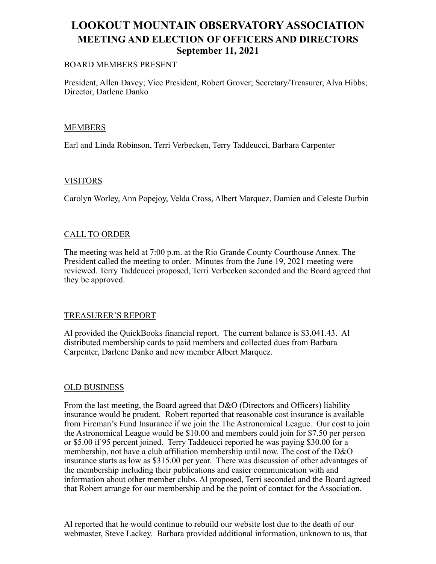# **LOOKOUT MOUNTAIN OBSERVATORY ASSOCIATION MEETING AND ELECTION OF OFFICERS AND DIRECTORS September 11, 2021**

#### BOARD MEMBERS PRESENT

President, Allen Davey; Vice President, Robert Grover; Secretary/Treasurer, Alva Hibbs; Director, Darlene Danko

## MEMBERS

Earl and Linda Robinson, Terri Verbecken, Terry Taddeucci, Barbara Carpenter

#### **VISITORS**

Carolyn Worley, Ann Popejoy, Velda Cross, Albert Marquez, Damien and Celeste Durbin

#### CALL TO ORDER

The meeting was held at 7:00 p.m. at the Rio Grande County Courthouse Annex. The President called the meeting to order. Minutes from the June 19, 2021 meeting were reviewed. Terry Taddeucci proposed, Terri Verbecken seconded and the Board agreed that they be approved.

#### TREASURER'S REPORT

Al provided the QuickBooks financial report. The current balance is \$3,041.43. Al distributed membership cards to paid members and collected dues from Barbara Carpenter, Darlene Danko and new member Albert Marquez.

#### OLD BUSINESS

From the last meeting, the Board agreed that D&O (Directors and Officers) liability insurance would be prudent. Robert reported that reasonable cost insurance is available from Fireman's Fund Insurance if we join the The Astronomical League. Our cost to join the Astronomical League would be \$10.00 and members could join for \$7.50 per person or \$5.00 if 95 percent joined. Terry Taddeucci reported he was paying \$30.00 for a membership, not have a club affiliation membership until now. The cost of the D&O insurance starts as low as \$315.00 per year. There was discussion of other advantages of the membership including their publications and easier communication with and information about other member clubs. Al proposed, Terri seconded and the Board agreed that Robert arrange for our membership and be the point of contact for the Association.

Al reported that he would continue to rebuild our website lost due to the death of our webmaster, Steve Lackey. Barbara provided additional information, unknown to us, that